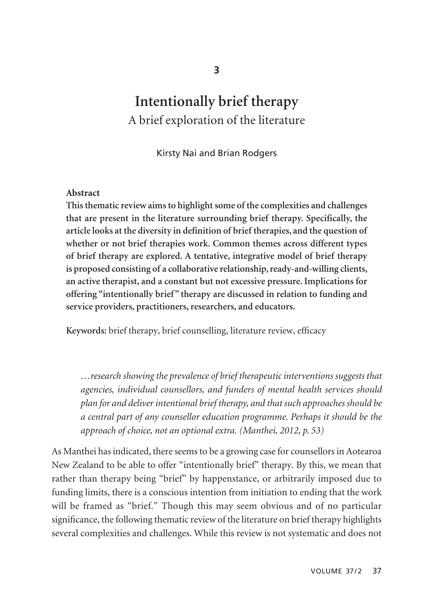# **Intentionally brief therapy**  A brief exploration of the literature

Kirsty Nai and Brian Rodgers

#### **Abstract**

**This thematic review aims to highlight some of the complexities and challenges that are present in the literature surrounding brief therapy. Specifically, the article looks at the diversity in definition of brief therapies, and the question of whether or not brief therapies work. Common themes across different types of brief therapy are explored. A tentative, integrative model of brief therapy is proposed consisting of a collaborative relationship, ready-and-willing clients, an active therapist, and a constant but not excessive pressure. Implications for offering "intentionally brief" therapy are discussed in relation to funding and service providers, practitioners, researchers, and educators.**

**Keywords:** brief therapy, brief counselling, literature review, efficacy

*…research showing the prevalence of brief therapeutic interventions suggests that agencies, individual counsellors, and funders of mental health services should plan for and deliver intentional brief therapy, and that such approaches should be a central part of any counsellor education programme. Perhaps it should be the approach of choice, not an optional extra. (Manthei, 2012, p. 53)*

As Manthei has indicated, there seems to be a growing case for counsellors in Aotearoa New Zealand to be able to offer "intentionally brief" therapy. By this, we mean that rather than therapy being "brief" by happenstance, or arbitrarily imposed due to funding limits, there is a conscious intention from initiation to ending that the work will be framed as "brief." Though this may seem obvious and of no particular significance, the following thematic review of the literature on brief therapy highlights several complexities and challenges. While this review is not systematic and does not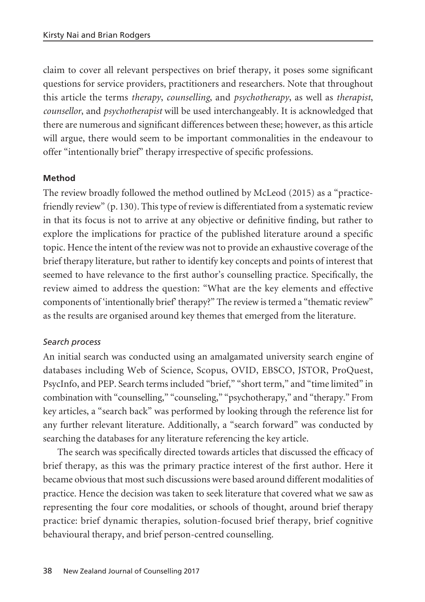claim to cover all relevant perspectives on brief therapy, it poses some significant questions for service providers, practitioners and researchers. Note that throughout this article the terms *therapy*, *counselling*, and *psychotherapy*, as well as *therapist*, *counsellor*, and *psychotherapist* will be used interchangeably. It is acknowledged that there are numerous and significant differences between these; however, as this article will argue, there would seem to be important commonalities in the endeavour to offer "intentionally brief" therapy irrespective of specific professions.

### **Method**

The review broadly followed the method outlined by McLeod (2015) as a "practicefriendly review" (p. 130). This type of review is differentiated from a systematic review in that its focus is not to arrive at any objective or definitive finding, but rather to explore the implications for practice of the published literature around a specific topic. Hence the intent of the review was not to provide an exhaustive coverage of the brief therapy literature, but rather to identify key concepts and points of interest that seemed to have relevance to the first author's counselling practice. Specifically, the review aimed to address the question: "What are the key elements and effective components of 'intentionally brief' therapy?" The review is termed a "thematic review" as the results are organised around key themes that emerged from the literature.

#### *Search process*

An initial search was conducted using an amalgamated university search engine of databases including Web of Science, Scopus, OVID, EBSCO, JSTOR, ProQuest, PsycInfo, and PEP. Search terms included "brief," "short term," and "time limited" in combination with "counselling," "counseling," "psychotherapy," and "therapy." From key articles, a "search back" was performed by looking through the reference list for any further relevant literature. Additionally, a "search forward" was conducted by searching the databases for any literature referencing the key article.

The search was specifically directed towards articles that discussed the efficacy of brief therapy, as this was the primary practice interest of the first author. Here it became obvious that most such discussions were based around different modalities of practice. Hence the decision was taken to seek literature that covered what we saw as representing the four core modalities, or schools of thought, around brief therapy practice: brief dynamic therapies, solution-focused brief therapy, brief cognitive behavioural therapy, and brief person-centred counselling.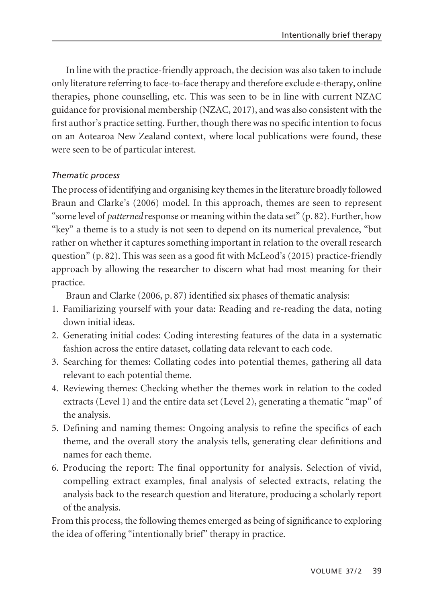In line with the practice-friendly approach, the decision was also taken to include only literature referring to face-to-face therapy and therefore exclude e-therapy, online therapies, phone counselling, etc. This was seen to be in line with current NZAC guidance for provisional membership (NZAC, 2017), and was also consistent with the first author's practice setting. Further, though there was no specific intention to focus on an Aotearoa New Zealand context, where local publications were found, these were seen to be of particular interest.

## *Thematic process*

The process of identifying and organising key themes in the literature broadly followed Braun and Clarke's (2006) model. In this approach, themes are seen to represent "some level of *patterned* response or meaning within the data set" (p. 82). Further, how "key" a theme is to a study is not seen to depend on its numerical prevalence, "but rather on whether it captures something important in relation to the overall research question" (p. 82). This was seen as a good fit with McLeod's (2015) practice-friendly approach by allowing the researcher to discern what had most meaning for their practice.

Braun and Clarke (2006, p. 87) identified six phases of thematic analysis:

- 1. Familiarizing yourself with your data: Reading and re-reading the data, noting down initial ideas.
- 2. Generating initial codes: Coding interesting features of the data in a systematic fashion across the entire dataset, collating data relevant to each code.
- 3. Searching for themes: Collating codes into potential themes, gathering all data relevant to each potential theme.
- 4. Reviewing themes: Checking whether the themes work in relation to the coded extracts (Level 1) and the entire data set (Level 2), generating a thematic "map" of the analysis.
- 5. Defining and naming themes: Ongoing analysis to refine the specifics of each theme, and the overall story the analysis tells, generating clear definitions and names for each theme.
- 6. Producing the report: The final opportunity for analysis. Selection of vivid, compelling extract examples, final analysis of selected extracts, relating the analysis back to the research question and literature, producing a scholarly report of the analysis.

From this process, the following themes emerged as being of significance to exploring the idea of offering "intentionally brief" therapy in practice.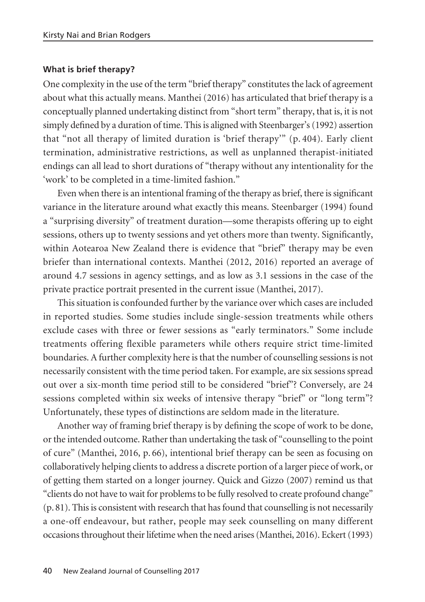#### **What is brief therapy?**

One complexity in the use of the term "brief therapy" constitutes the lack of agreement about what this actually means. Manthei (2016) has articulated that brief therapy is a conceptually planned undertaking distinct from "short term" therapy, that is, it is not simply defined by a duration of time. This is aligned with Steenbarger's (1992) assertion that "not all therapy of limited duration is 'brief therapy'" (p. 404). Early client termination, administrative restrictions, as well as unplanned therapist-initiated endings can all lead to short durations of "therapy without any intentionality for the 'work' to be completed in a time-limited fashion."

Even when there is an intentional framing of the therapy as brief, there is significant variance in the literature around what exactly this means. Steenbarger (1994) found a "surprising diversity" of treatment duration—some therapists offering up to eight sessions, others up to twenty sessions and yet others more than twenty. Significantly, within Aotearoa New Zealand there is evidence that "brief" therapy may be even briefer than international contexts. Manthei (2012, 2016) reported an average of around 4.7 sessions in agency settings, and as low as 3.1 sessions in the case of the private practice portrait presented in the current issue (Manthei, 2017).

This situation is confounded further by the variance over which cases are included in reported studies. Some studies include single-session treatments while others exclude cases with three or fewer sessions as "early terminators." Some include treatments offering flexible parameters while others require strict time-limited boundaries. A further complexity here is that the number of counselling sessions is not necessarily consistent with the time period taken. For example, are six sessions spread out over a six-month time period still to be considered "brief"? Conversely, are 24 sessions completed within six weeks of intensive therapy "brief" or "long term"? Unfortunately, these types of distinctions are seldom made in the literature.

Another way of framing brief therapy is by defining the scope of work to be done, or the intended outcome. Rather than undertaking the task of "counselling to the point of cure" (Manthei, 2016, p. 66), intentional brief therapy can be seen as focusing on collaboratively helping clients to address a discrete portion of a larger piece of work, or of getting them started on a longer journey. Quick and Gizzo (2007) remind us that "clients do not have to wait for problems to be fully resolved to create profound change" (p. 81). This is consistent with research that has found that counselling is not necessarily a one-off endeavour, but rather, people may seek counselling on many different occasions throughout their lifetime when the need arises (Manthei, 2016). Eckert (1993)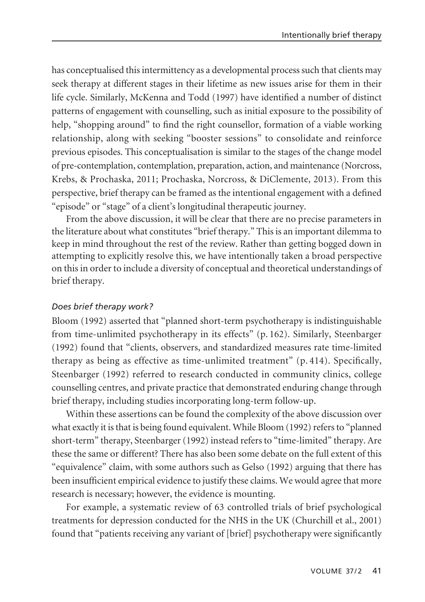has conceptualised this intermittency as a developmental process such that clients may seek therapy at different stages in their lifetime as new issues arise for them in their life cycle. Similarly, McKenna and Todd (1997) have identified a number of distinct patterns of engagement with counselling, such as initial exposure to the possibility of help, "shopping around" to find the right counsellor, formation of a viable working relationship, along with seeking "booster sessions" to consolidate and reinforce previous episodes. This conceptualisation is similar to the stages of the change model of pre-contemplation, contemplation, preparation, action, and maintenance (Norcross, Krebs, & Prochaska, 2011; Prochaska, Norcross, & DiClemente, 2013). From this perspective, brief therapy can be framed as the intentional engagement with a defined "episode" or "stage" of a client's longitudinal therapeutic journey.

From the above discussion, it will be clear that there are no precise parameters in the literature about what constitutes "brief therapy." This is an important dilemma to keep in mind throughout the rest of the review. Rather than getting bogged down in attempting to explicitly resolve this, we have intentionally taken a broad perspective on this in order to include a diversity of conceptual and theoretical understandings of brief therapy.

## *Does brief therapy work?*

Bloom (1992) asserted that "planned short-term psychotherapy is indistinguishable from time-unlimited psychotherapy in its effects" (p. 162). Similarly, Steenbarger (1992) found that "clients, observers, and standardized measures rate time-limited therapy as being as effective as time-unlimited treatment" (p. 414). Specifically, Steenbarger (1992) referred to research conducted in community clinics, college counselling centres, and private practice that demonstrated enduring change through brief therapy, including studies incorporating long-term follow-up.

Within these assertions can be found the complexity of the above discussion over what exactly it is that is being found equivalent. While Bloom (1992) refers to "planned short-term" therapy, Steenbarger (1992) instead refers to "time-limited" therapy. Are these the same or different? There has also been some debate on the full extent of this "equivalence" claim, with some authors such as Gelso (1992) arguing that there has been insufficient empirical evidence to justify these claims. We would agree that more research is necessary; however, the evidence is mounting.

For example, a systematic review of 63 controlled trials of brief psychological treatments for depression conducted for the NHS in the UK (Churchill et al., 2001) found that "patients receiving any variant of [brief] psychotherapy were significantly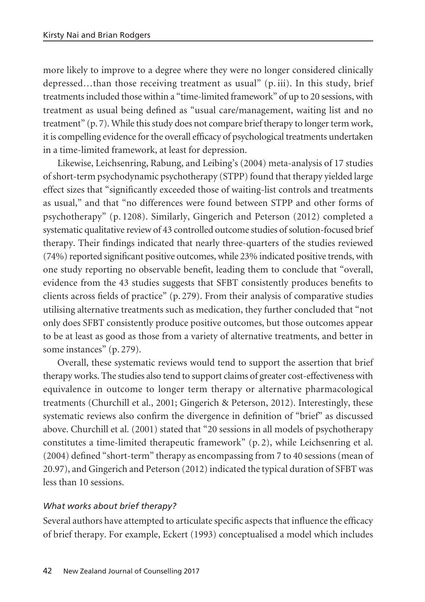more likely to improve to a degree where they were no longer considered clinically depressed…than those receiving treatment as usual" (p. iii). In this study, brief treatments included those within a "time-limited framework" of up to 20 sessions, with treatment as usual being defined as "usual care/management, waiting list and no treatment" (p. 7). While this study does not compare brief therapy to longer term work, it is compelling evidence for the overall efficacy of psychological treatments undertaken in a time-limited framework, at least for depression.

Likewise, Leichsenring, Rabung, and Leibing's (2004) meta-analysis of 17 studies of short-term psychodynamic psychotherapy (STPP) found that therapy yielded large effect sizes that "significantly exceeded those of waiting-list controls and treatments as usual," and that "no differences were found between STPP and other forms of psychotherapy" (p. 1208). Similarly, Gingerich and Peterson (2012) completed a systematic qualitative review of 43 controlled outcome studies of solution-focused brief therapy. Their findings indicated that nearly three-quarters of the studies reviewed (74%) reported significant positive outcomes, while 23% indicated positive trends, with one study reporting no observable benefit, leading them to conclude that "overall, evidence from the 43 studies suggests that SFBT consistently produces benefits to clients across fields of practice" (p. 279). From their analysis of comparative studies utilising alternative treatments such as medication, they further concluded that "not only does SFBT consistently produce positive outcomes, but those outcomes appear to be at least as good as those from a variety of alternative treatments, and better in some instances" (p. 279).

Overall, these systematic reviews would tend to support the assertion that brief therapy works. The studies also tend to support claims of greater cost-effectiveness with equivalence in outcome to longer term therapy or alternative pharmacological treatments (Churchill et al., 2001; Gingerich & Peterson, 2012). Interestingly, these systematic reviews also confirm the divergence in definition of "brief" as discussed above. Churchill et al. (2001) stated that "20 sessions in all models of psychotherapy constitutes a time-limited therapeutic framework" (p. 2), while Leichsenring et al. (2004) defined "short-term" therapy as encompassing from 7 to 40 sessions (mean of 20.97), and Gingerich and Peterson (2012) indicated the typical duration of SFBT was less than 10 sessions.

## *What works about brief therapy?*

Several authors have attempted to articulate specific aspects that influence the efficacy of brief therapy. For example, Eckert (1993) conceptualised a model which includes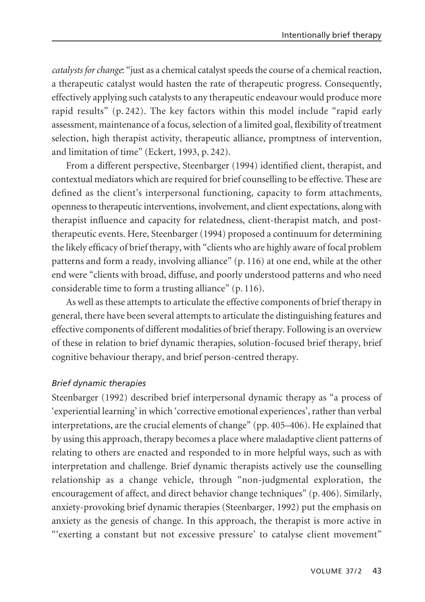*catalysts for change*: "just as a chemical catalyst speeds the course of a chemical reaction, a therapeutic catalyst would hasten the rate of therapeutic progress. Consequently, effectively applying such catalysts to any therapeutic endeavour would produce more rapid results" (p. 242). The key factors within this model include "rapid early assessment, maintenance of a focus, selection of a limited goal, flexibility of treatment selection, high therapist activity, therapeutic alliance, promptness of intervention, and limitation of time" (Eckert, 1993, p. 242).

From a different perspective, Steenbarger (1994) identified client, therapist, and contextual mediators which are required for brief counselling to be effective. These are defined as the client's interpersonal functioning, capacity to form attachments, openness to therapeutic interventions, involvement, and client expectations, along with therapist influence and capacity for relatedness, client-therapist match, and posttherapeutic events. Here, Steenbarger (1994) proposed a continuum for determining the likely efficacy of brief therapy, with "clients who are highly aware of focal problem patterns and form a ready, involving alliance" (p. 116) at one end, while at the other end were "clients with broad, diffuse, and poorly understood patterns and who need considerable time to form a trusting alliance" (p. 116).

As well as these attempts to articulate the effective components of brief therapy in general, there have been several attempts to articulate the distinguishing features and effective components of different modalities of brief therapy. Following is an overview of these in relation to brief dynamic therapies, solution-focused brief therapy, brief cognitive behaviour therapy, and brief person-centred therapy.

#### *Brief dynamic therapies*

Steenbarger (1992) described brief interpersonal dynamic therapy as "a process of 'experiential learning' in which 'corrective emotional experiences', rather than verbal interpretations, are the crucial elements of change" (pp. 405–406). He explained that by using this approach, therapy becomes a place where maladaptive client patterns of relating to others are enacted and responded to in more helpful ways, such as with interpretation and challenge. Brief dynamic therapists actively use the counselling relationship as a change vehicle, through "non-judgmental exploration, the encouragement of affect, and direct behavior change techniques" (p. 406). Similarly, anxiety-provoking brief dynamic therapies (Steenbarger, 1992) put the emphasis on anxiety as the genesis of change. In this approach, the therapist is more active in "'exerting a constant but not excessive pressure' to catalyse client movement"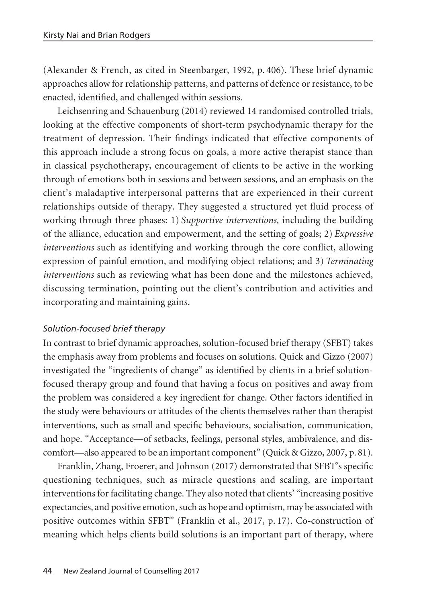(Alexander & French, as cited in Steenbarger, 1992, p. 406). These brief dynamic approaches allow for relationship patterns, and patterns of defence or resistance, to be enacted, identified, and challenged within sessions.

Leichsenring and Schauenburg (2014) reviewed 14 randomised controlled trials, looking at the effective components of short-term psychodynamic therapy for the treatment of depression. Their findings indicated that effective components of this approach include a strong focus on goals, a more active therapist stance than in classical psychotherapy, encouragement of clients to be active in the working through of emotions both in sessions and between sessions, and an emphasis on the client's maladaptive interpersonal patterns that are experienced in their current relationships outside of therapy. They suggested a structured yet fluid process of working through three phases: 1) *Supportive interventions*, including the building of the alliance, education and empowerment, and the setting of goals; 2) *Expressive interventions* such as identifying and working through the core conflict, allowing expression of painful emotion, and modifying object relations; and 3) *Terminating interventions* such as reviewing what has been done and the milestones achieved, discussing termination, pointing out the client's contribution and activities and incorporating and maintaining gains.

## *Solution-focused brief therapy*

In contrast to brief dynamic approaches, solution-focused brief therapy (SFBT) takes the emphasis away from problems and focuses on solutions. Quick and Gizzo (2007) investigated the "ingredients of change" as identified by clients in a brief solutionfocused therapy group and found that having a focus on positives and away from the problem was considered a key ingredient for change. Other factors identified in the study were behaviours or attitudes of the clients themselves rather than therapist interventions, such as small and specific behaviours, socialisation, communication, and hope. "Acceptance—of setbacks, feelings, personal styles, ambivalence, and discomfort—also appeared to be an important component" (Quick & Gizzo, 2007, p. 81).

Franklin, Zhang, Froerer, and Johnson (2017) demonstrated that SFBT's specific questioning techniques, such as miracle questions and scaling, are important interventions for facilitating change. They also noted that clients' "increasing positive expectancies, and positive emotion, such as hope and optimism, may be associated with positive outcomes within SFBT" (Franklin et al., 2017, p. 17). Co-construction of meaning which helps clients build solutions is an important part of therapy, where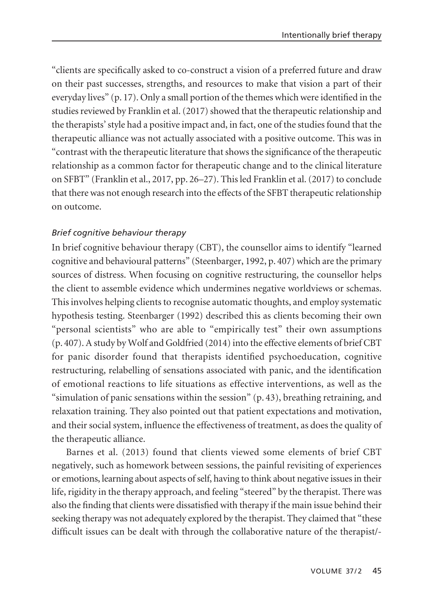"clients are specifically asked to co-construct a vision of a preferred future and draw on their past successes, strengths, and resources to make that vision a part of their everyday lives" (p. 17). Only a small portion of the themes which were identified in the studies reviewed by Franklin et al. (2017) showed that the therapeutic relationship and the therapists' style had a positive impact and, in fact, one of the studies found that the therapeutic alliance was not actually associated with a positive outcome. This was in "contrast with the therapeutic literature that shows the significance of the therapeutic relationship as a common factor for therapeutic change and to the clinical literature on SFBT" (Franklin et al., 2017, pp. 26–27). This led Franklin et al. (2017) to conclude that there was not enough research into the effects of the SFBT therapeutic relationship on outcome.

## *Brief cognitive behaviour therapy*

In brief cognitive behaviour therapy (CBT), the counsellor aims to identify "learned cognitive and behavioural patterns" (Steenbarger, 1992, p. 407) which are the primary sources of distress. When focusing on cognitive restructuring, the counsellor helps the client to assemble evidence which undermines negative worldviews or schemas. This involves helping clients to recognise automatic thoughts, and employ systematic hypothesis testing. Steenbarger (1992) described this as clients becoming their own "personal scientists" who are able to "empirically test" their own assumptions (p. 407). A study by Wolf and Goldfried (2014) into the effective elements of brief CBT for panic disorder found that therapists identified psychoeducation, cognitive restructuring, relabelling of sensations associated with panic, and the identification of emotional reactions to life situations as effective interventions, as well as the "simulation of panic sensations within the session" (p. 43), breathing retraining, and relaxation training. They also pointed out that patient expectations and motivation, and their social system, influence the effectiveness of treatment, as does the quality of the therapeutic alliance.

Barnes et al. (2013) found that clients viewed some elements of brief CBT negatively, such as homework between sessions, the painful revisiting of experiences or emotions, learning about aspects of self, having to think about negative issues in their life, rigidity in the therapy approach, and feeling "steered" by the therapist. There was also the finding that clients were dissatisfied with therapy if the main issue behind their seeking therapy was not adequately explored by the therapist. They claimed that "these difficult issues can be dealt with through the collaborative nature of the therapist/-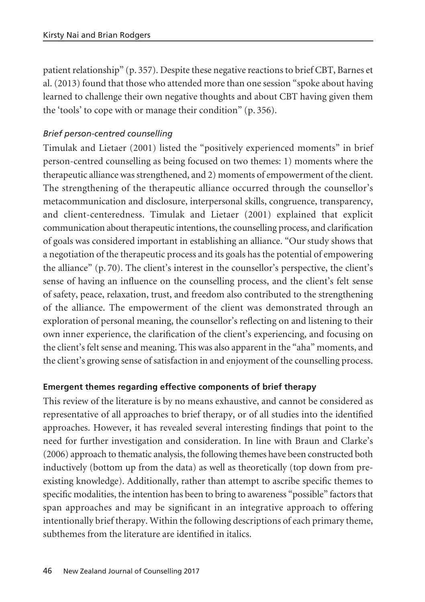patient relationship" (p. 357). Despite these negative reactions to brief CBT, Barnes et al. (2013) found that those who attended more than one session "spoke about having learned to challenge their own negative thoughts and about CBT having given them the 'tools' to cope with or manage their condition" (p. 356).

## *Brief person-centred counselling*

Timulak and Lietaer (2001) listed the "positively experienced moments" in brief person-centred counselling as being focused on two themes: 1) moments where the therapeutic alliance was strengthened, and 2) moments of empowerment of the client. The strengthening of the therapeutic alliance occurred through the counsellor's metacommunication and disclosure, interpersonal skills, congruence, transparency, and client-centeredness. Timulak and Lietaer (2001) explained that explicit communication about therapeutic intentions, the counselling process, and clarification of goals was considered important in establishing an alliance. "Our study shows that a negotiation of the therapeutic process and its goals has the potential of empowering the alliance" (p. 70). The client's interest in the counsellor's perspective, the client's sense of having an influence on the counselling process, and the client's felt sense of safety, peace, relaxation, trust, and freedom also contributed to the strengthening of the alliance. The empowerment of the client was demonstrated through an exploration of personal meaning, the counsellor's reflecting on and listening to their own inner experience, the clarification of the client's experiencing, and focusing on the client's felt sense and meaning. This was also apparent in the "aha" moments, and the client's growing sense of satisfaction in and enjoyment of the counselling process.

#### **Emergent themes regarding effective components of brief therapy**

This review of the literature is by no means exhaustive, and cannot be considered as representative of all approaches to brief therapy, or of all studies into the identified approaches. However, it has revealed several interesting findings that point to the need for further investigation and consideration. In line with Braun and Clarke's (2006) approach to thematic analysis, the following themes have been constructed both inductively (bottom up from the data) as well as theoretically (top down from preexisting knowledge). Additionally, rather than attempt to ascribe specific themes to specific modalities, the intention has been to bring to awareness "possible" factors that span approaches and may be significant in an integrative approach to offering intentionally brief therapy. Within the following descriptions of each primary theme, subthemes from the literature are identified in italics.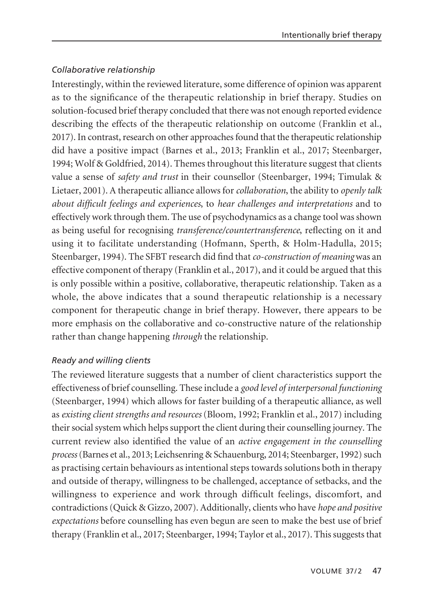## *Collaborative relationship*

Interestingly, within the reviewed literature, some difference of opinion was apparent as to the significance of the therapeutic relationship in brief therapy. Studies on solution-focused brief therapy concluded that there was not enough reported evidence describing the effects of the therapeutic relationship on outcome (Franklin et al., 2017). In contrast, research on other approaches found that the therapeutic relationship did have a positive impact (Barnes et al., 2013; Franklin et al., 2017; Steenbarger, 1994; Wolf & Goldfried, 2014). Themes throughout this literature suggest that clients value a sense of *safety and trust* in their counsellor (Steenbarger, 1994; Timulak & Lietaer, 2001). A therapeutic alliance allows for *collaboration*, the ability to *openly talk about difficult feelings and experiences*, to *hear challenges and interpretations* and to effectively work through them. The use of psychodynamics as a change tool was shown as being useful for recognising *transference/countertransference*, reflecting on it and using it to facilitate understanding (Hofmann, Sperth, & Holm-Hadulla, 2015; Steenbarger, 1994). The SFBT research did find that *co-construction of meaning* was an effective component of therapy (Franklin et al., 2017), and it could be argued that this is only possible within a positive, collaborative, therapeutic relationship. Taken as a whole, the above indicates that a sound therapeutic relationship is a necessary component for therapeutic change in brief therapy. However, there appears to be more emphasis on the collaborative and co-constructive nature of the relationship rather than change happening *through* the relationship.

## *Ready and willing clients*

The reviewed literature suggests that a number of client characteristics support the effectiveness of brief counselling. These include a *good level of interpersonal functioning* (Steenbarger, 1994) which allows for faster building of a therapeutic alliance, as well as *existing client strengths and resources* (Bloom, 1992; Franklin et al., 2017) including their social system which helps support the client during their counselling journey. The current review also identified the value of an *active engagement in the counselling process*(Barnes et al., 2013; Leichsenring & Schauenburg, 2014; Steenbarger, 1992) such as practising certain behaviours as intentional steps towards solutions both in therapy and outside of therapy, willingness to be challenged, acceptance of setbacks, and the willingness to experience and work through difficult feelings, discomfort, and contradictions (Quick & Gizzo, 2007). Additionally, clients who have *hope and positive expectations* before counselling has even begun are seen to make the best use of brief therapy (Franklin et al., 2017; Steenbarger, 1994; Taylor et al., 2017). This suggests that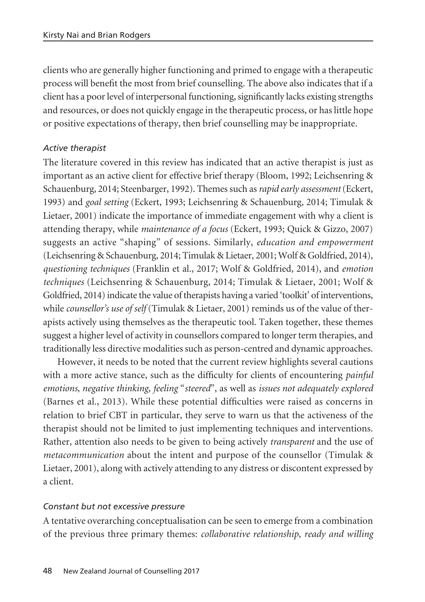clients who are generally higher functioning and primed to engage with a therapeutic process will benefit the most from brief counselling. The above also indicates that if a client has a poor level of interpersonal functioning, significantly lacks existing strengths and resources, or does not quickly engage in the therapeutic process, or has little hope or positive expectations of therapy, then brief counselling may be inappropriate.

## *Active therapist*

The literature covered in this review has indicated that an active therapist is just as important as an active client for effective brief therapy (Bloom, 1992; Leichsenring & Schauenburg, 2014; Steenbarger, 1992). Themes such as *rapid early assessment* (Eckert, 1993) and *goal setting* (Eckert, 1993; Leichsenring & Schauenburg, 2014; Timulak & Lietaer, 2001) indicate the importance of immediate engagement with why a client is attending therapy, while *maintenance of a focus* (Eckert, 1993; Quick & Gizzo, 2007) suggests an active "shaping" of sessions. Similarly, *education and empowerment* (Leichsenring & Schauenburg, 2014; Timulak & Lietaer, 2001; Wolf & Goldfried, 2014), *questioning techniques* (Franklin et al., 2017; Wolf & Goldfried, 2014), and *emotion techniques* (Leichsenring & Schauenburg, 2014; Timulak & Lietaer, 2001; Wolf & Goldfried, 2014) indicate the value of therapists having a varied 'toolkit' of interventions, while *counsellor's use of self* (Timulak & Lietaer, 2001) reminds us of the value of therapists actively using themselves as the therapeutic tool. Taken together, these themes suggest a higher level of activity in counsellors compared to longer term therapies, and traditionally less directive modalities such as person-centred and dynamic approaches.

However, it needs to be noted that the current review highlights several cautions with a more active stance, such as the difficulty for clients of encountering *painful emotions, negative thinking*, *feeling* "*steered*", as well as *issues not adequately explored* (Barnes et al., 2013). While these potential difficulties were raised as concerns in relation to brief CBT in particular, they serve to warn us that the activeness of the therapist should not be limited to just implementing techniques and interventions. Rather, attention also needs to be given to being actively *transparent* and the use of *metacommunication* about the intent and purpose of the counsellor (Timulak & Lietaer, 2001), along with actively attending to any distress or discontent expressed by a client.

#### *Constant but not excessive pressure*

A tentative overarching conceptualisation can be seen to emerge from a combination of the previous three primary themes: *collaborative relationship*, *ready and willing*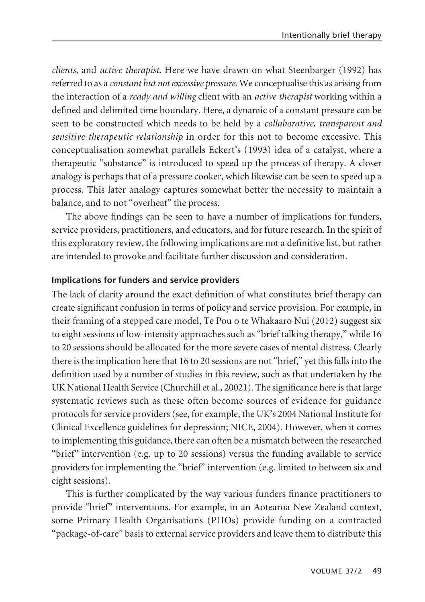*clients*, and *active therapist*. Here we have drawn on what Steenbarger (1992) has referred to as a *constant but not excessive pressure*. We conceptualise this as arising from the interaction of a *ready and willing* client with an *active therapist* working within a defined and delimited time boundary. Here, a dynamic of a constant pressure can be seen to be constructed which needs to be held by a *collaborative, transparent and sensitive therapeutic relationship* in order for this not to become excessive. This conceptualisation somewhat parallels Eckert's (1993) idea of a catalyst, where a therapeutic "substance" is introduced to speed up the process of therapy. A closer analogy is perhaps that of a pressure cooker, which likewise can be seen to speed up a process. This later analogy captures somewhat better the necessity to maintain a balance, and to not "overheat" the process.

The above findings can be seen to have a number of implications for funders, service providers, practitioners, and educators, and for future research. In the spirit of this exploratory review, the following implications are not a definitive list, but rather are intended to provoke and facilitate further discussion and consideration.

#### **Implications for funders and service providers**

The lack of clarity around the exact definition of what constitutes brief therapy can create significant confusion in terms of policy and service provision. For example, in their framing of a stepped care model, Te Pou o te Whakaaro Nui (2012) suggest six to eight sessions of low-intensity approaches such as "brief talking therapy," while 16 to 20 sessions should be allocated for the more severe cases of mental distress. Clearly there is the implication here that 16 to 20 sessions are not "brief," yet this falls into the definition used by a number of studies in this review, such as that undertaken by the UK National Health Service (Churchill et al., 20021). The significance here is that large systematic reviews such as these often become sources of evidence for guidance protocols for service providers (see, for example, the UK's 2004 National Institute for Clinical Excellence guidelines for depression; NICE, 2004). However, when it comes to implementing this guidance, there can often be a mismatch between the researched "brief" intervention (e.g. up to 20 sessions) versus the funding available to service providers for implementing the "brief" intervention (e.g. limited to between six and eight sessions).

This is further complicated by the way various funders finance practitioners to provide "brief" interventions. For example, in an Aotearoa New Zealand context, some Primary Health Organisations (PHOs) provide funding on a contracted "package-of-care" basis to external service providers and leave them to distribute this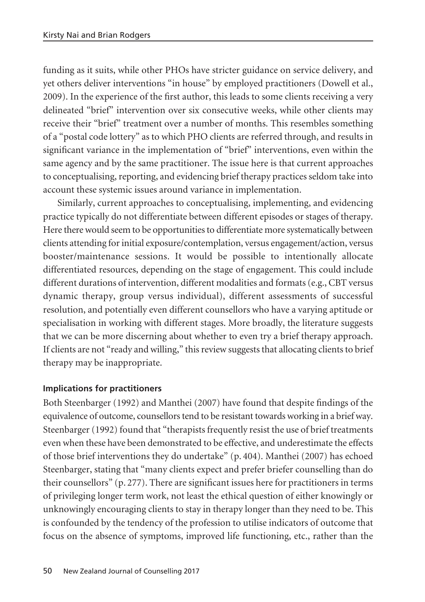funding as it suits, while other PHOs have stricter guidance on service delivery, and yet others deliver interventions "in house" by employed practitioners (Dowell et al., 2009). In the experience of the first author, this leads to some clients receiving a very delineated "brief" intervention over six consecutive weeks, while other clients may receive their "brief" treatment over a number of months. This resembles something of a "postal code lottery" as to which PHO clients are referred through, and results in significant variance in the implementation of "brief" interventions, even within the same agency and by the same practitioner. The issue here is that current approaches to conceptualising, reporting, and evidencing brief therapy practices seldom take into account these systemic issues around variance in implementation.

Similarly, current approaches to conceptualising, implementing, and evidencing practice typically do not differentiate between different episodes or stages of therapy. Here there would seem to be opportunities to differentiate more systematically between clients attending for initial exposure/contemplation, versus engagement/action, versus booster/maintenance sessions. It would be possible to intentionally allocate differentiated resources, depending on the stage of engagement. This could include different durations of intervention, different modalities and formats (e.g., CBT versus dynamic therapy, group versus individual), different assessments of successful resolution, and potentially even different counsellors who have a varying aptitude or specialisation in working with different stages. More broadly, the literature suggests that we can be more discerning about whether to even try a brief therapy approach. If clients are not "ready and willing," this review suggests that allocating clients to brief therapy may be inappropriate.

## **Implications for practitioners**

Both Steenbarger (1992) and Manthei (2007) have found that despite findings of the equivalence of outcome, counsellors tend to be resistant towards working in a brief way. Steenbarger (1992) found that "therapists frequently resist the use of brief treatments even when these have been demonstrated to be effective, and underestimate the effects of those brief interventions they do undertake" (p. 404). Manthei (2007) has echoed Steenbarger, stating that "many clients expect and prefer briefer counselling than do their counsellors" (p. 277). There are significant issues here for practitioners in terms of privileging longer term work, not least the ethical question of either knowingly or unknowingly encouraging clients to stay in therapy longer than they need to be. This is confounded by the tendency of the profession to utilise indicators of outcome that focus on the absence of symptoms, improved life functioning, etc., rather than the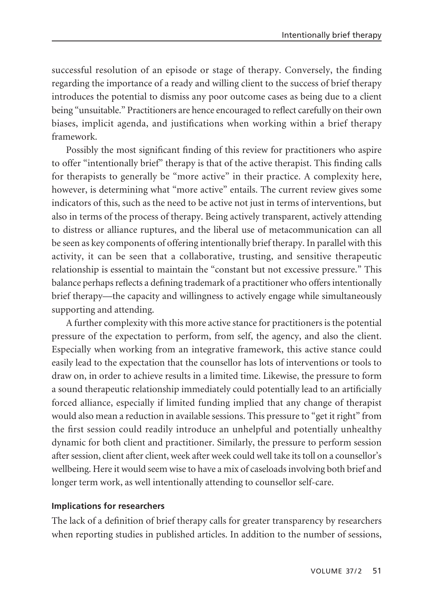successful resolution of an episode or stage of therapy. Conversely, the finding regarding the importance of a ready and willing client to the success of brief therapy introduces the potential to dismiss any poor outcome cases as being due to a client being "unsuitable." Practitioners are hence encouraged to reflect carefully on their own biases, implicit agenda, and justifications when working within a brief therapy framework.

Possibly the most significant finding of this review for practitioners who aspire to offer "intentionally brief" therapy is that of the active therapist. This finding calls for therapists to generally be "more active" in their practice. A complexity here, however, is determining what "more active" entails. The current review gives some indicators of this, such as the need to be active not just in terms of interventions, but also in terms of the process of therapy. Being actively transparent, actively attending to distress or alliance ruptures, and the liberal use of metacommunication can all be seen as key components of offering intentionally brief therapy. In parallel with this activity, it can be seen that a collaborative, trusting, and sensitive therapeutic relationship is essential to maintain the "constant but not excessive pressure." This balance perhaps reflects a defining trademark of a practitioner who offers intentionally brief therapy—the capacity and willingness to actively engage while simultaneously supporting and attending.

A further complexity with this more active stance for practitioners is the potential pressure of the expectation to perform, from self, the agency, and also the client. Especially when working from an integrative framework, this active stance could easily lead to the expectation that the counsellor has lots of interventions or tools to draw on, in order to achieve results in a limited time. Likewise, the pressure to form a sound therapeutic relationship immediately could potentially lead to an artificially forced alliance, especially if limited funding implied that any change of therapist would also mean a reduction in available sessions. This pressure to "get it right" from the first session could readily introduce an unhelpful and potentially unhealthy dynamic for both client and practitioner. Similarly, the pressure to perform session after session, client after client, week after week could well take its toll on a counsellor's wellbeing. Here it would seem wise to have a mix of caseloads involving both brief and longer term work, as well intentionally attending to counsellor self-care.

## **Implications for researchers**

The lack of a definition of brief therapy calls for greater transparency by researchers when reporting studies in published articles. In addition to the number of sessions,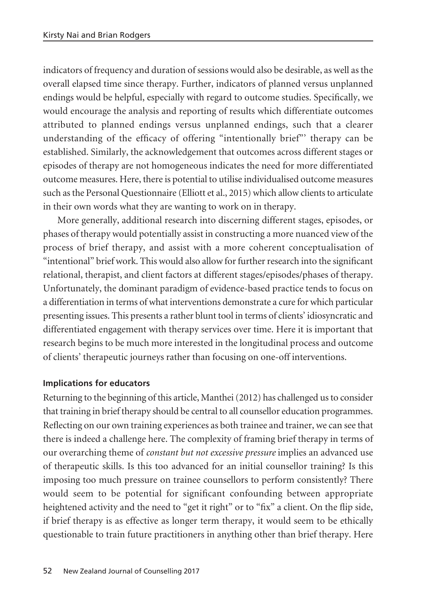indicators of frequency and duration of sessions would also be desirable, as well as the overall elapsed time since therapy. Further, indicators of planned versus unplanned endings would be helpful, especially with regard to outcome studies. Specifically, we would encourage the analysis and reporting of results which differentiate outcomes attributed to planned endings versus unplanned endings, such that a clearer understanding of the efficacy of offering "intentionally brief"' therapy can be established. Similarly, the acknowledgement that outcomes across different stages or episodes of therapy are not homogeneous indicates the need for more differentiated outcome measures. Here, there is potential to utilise individualised outcome measures such as the Personal Questionnaire (Elliott et al., 2015) which allow clients to articulate in their own words what they are wanting to work on in therapy.

More generally, additional research into discerning different stages, episodes, or phases of therapy would potentially assist in constructing a more nuanced view of the process of brief therapy, and assist with a more coherent conceptualisation of "intentional" brief work. This would also allow for further research into the significant relational, therapist, and client factors at different stages/episodes/phases of therapy. Unfortunately, the dominant paradigm of evidence-based practice tends to focus on a differentiation in terms of what interventions demonstrate a cure for which particular presenting issues. This presents a rather blunt tool in terms of clients' idiosyncratic and differentiated engagement with therapy services over time. Here it is important that research begins to be much more interested in the longitudinal process and outcome of clients' therapeutic journeys rather than focusing on one-off interventions.

## **Implications for educators**

Returning to the beginning of this article, Manthei (2012) has challenged us to consider that training in brief therapy should be central to all counsellor education programmes. Reflecting on our own training experiences as both trainee and trainer, we can see that there is indeed a challenge here. The complexity of framing brief therapy in terms of our overarching theme of *constant but not excessive pressure* implies an advanced use of therapeutic skills. Is this too advanced for an initial counsellor training? Is this imposing too much pressure on trainee counsellors to perform consistently? There would seem to be potential for significant confounding between appropriate heightened activity and the need to "get it right" or to "fix" a client. On the flip side, if brief therapy is as effective as longer term therapy, it would seem to be ethically questionable to train future practitioners in anything other than brief therapy. Here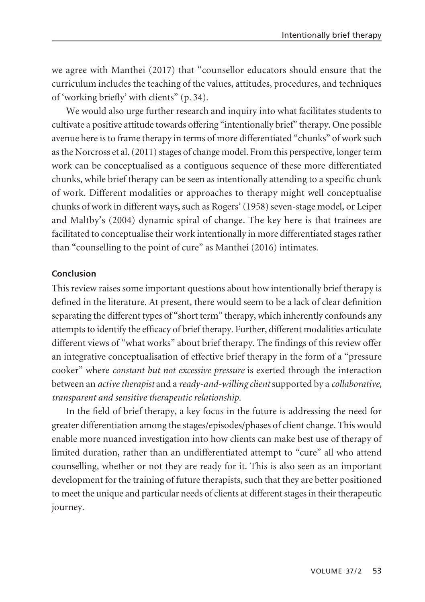we agree with Manthei (2017) that "counsellor educators should ensure that the curriculum includes the teaching of the values, attitudes, procedures, and techniques of 'working briefly' with clients" (p. 34).

We would also urge further research and inquiry into what facilitates students to cultivate a positive attitude towards offering "intentionally brief" therapy. One possible avenue here is to frame therapy in terms of more differentiated "chunks" of work such as the Norcross et al. (2011) stages of change model. From this perspective, longer term work can be conceptualised as a contiguous sequence of these more differentiated chunks, while brief therapy can be seen as intentionally attending to a specific chunk of work. Different modalities or approaches to therapy might well conceptualise chunks of work in different ways, such as Rogers' (1958) seven-stage model, or Leiper and Maltby's (2004) dynamic spiral of change. The key here is that trainees are facilitated to conceptualise their work intentionally in more differentiated stages rather than "counselling to the point of cure" as Manthei (2016) intimates.

#### **Conclusion**

This review raises some important questions about how intentionally brief therapy is defined in the literature. At present, there would seem to be a lack of clear definition separating the different types of "short term" therapy, which inherently confounds any attempts to identify the efficacy of brief therapy. Further, different modalities articulate different views of "what works" about brief therapy. The findings of this review offer an integrative conceptualisation of effective brief therapy in the form of a "pressure cooker" where *constant but not excessive pressure* is exerted through the interaction between an *active therapist* and a *ready-and-willing client* supported by a *collaborative, transparent and sensitive therapeutic relationship*.

In the field of brief therapy, a key focus in the future is addressing the need for greater differentiation among the stages/episodes/phases of client change. This would enable more nuanced investigation into how clients can make best use of therapy of limited duration, rather than an undifferentiated attempt to "cure" all who attend counselling, whether or not they are ready for it. This is also seen as an important development for the training of future therapists, such that they are better positioned to meet the unique and particular needs of clients at different stages in their therapeutic journey.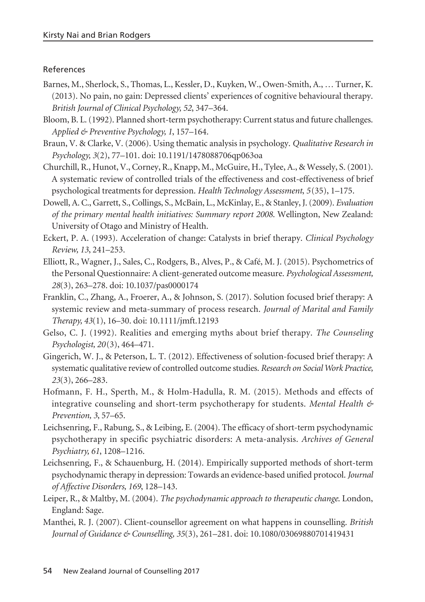#### References

- Barnes, M., Sherlock, S., Thomas, L., Kessler, D., Kuyken, W., Owen-Smith, A., … Turner, K. (2013). No pain, no gain: Depressed clients' experiences of cognitive behavioural therapy. *British Journal of Clinical Psychology, 52*, 347–364.
- Bloom, B. L. (1992). Planned short-term psychotherapy: Current status and future challenges. *Applied & Preventive Psychology, 1*, 157–164.
- Braun, V. & Clarke, V. (2006). Using thematic analysis in psychology. *Qualitative Research in Psychology, 3*(2), 77–101. doi: 10.1191/1478088706qp063oa
- Churchill, R., Hunot, V., Corney, R., Knapp, M., McGuire, H., Tylee, A., & Wessely, S. (2001). A systematic review of controlled trials of the effectiveness and cost-effectiveness of brief psychological treatments for depression. *Health Technology Assessment*, *5*(35), 1–175.
- Dowell, A. C., Garrett, S., Collings, S., McBain, L., McKinlay, E., & Stanley, J. (2009). *Evaluation of the primary mental health initiatives: Summary report 2008*. Wellington, New Zealand: University of Otago and Ministry of Health.
- Eckert, P. A. (1993). Acceleration of change: Catalysts in brief therapy. *Clinical Psychology Review, 13*, 241–253.
- Elliott, R., Wagner, J., Sales, C., Rodgers, B., Alves, P., & Café, M. J. (2015). Psychometrics of the Personal Questionnaire: A client-generated outcome measure. *Psychological Assessment, 28*(3), 263–278. doi: 10.1037/pas0000174
- Franklin, C., Zhang, A., Froerer, A., & Johnson, S. (2017). Solution focused brief therapy: A systemic review and meta-summary of process research. *Journal of Marital and Family Therapy, 43*(1), 16–30. doi: 10.1111/jmft.12193
- Gelso, C. J. (1992). Realities and emerging myths about brief therapy. *The Counseling Psychologist, 20*(3), 464–471.
- Gingerich, W. J., & Peterson, L. T. (2012). Effectiveness of solution-focused brief therapy: A systematic qualitative review of controlled outcome studies. *Research on Social Work Practice, 23*(3), 266–283.
- Hofmann, F. H., Sperth, M., & Holm-Hadulla, R. M. (2015). Methods and effects of integrative counseling and short-term psychotherapy for students. *Mental Health & Prevention, 3*, 57–65.
- Leichsenring, F., Rabung, S., & Leibing, E. (2004). The efficacy of short-term psychodynamic psychotherapy in specific psychiatric disorders: A meta-analysis. *Archives of General Psychiatry, 61*, 1208–1216.
- Leichsenring, F., & Schauenburg, H. (2014). Empirically supported methods of short-term psychodynamic therapy in depression: Towards an evidence-based unified protocol. *Journal of Affective Disorders, 169*, 128–143.
- Leiper, R., & Maltby, M. (2004). *The psychodynamic approach to therapeutic change*. London, England: Sage.
- Manthei, R. J. (2007). Client-counsellor agreement on what happens in counselling. *British Journal of Guidance & Counselling, 35*(3), 261–281. doi: 10.1080/03069880701419431